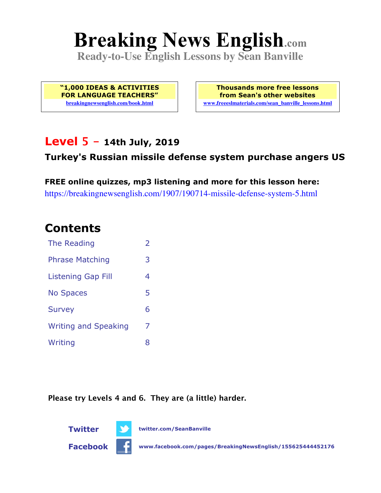# **Breaking News English.com**

**Ready-to-Use English Lessons by Sean Banville**

**"1,000 IDEAS & ACTIVITIES FOR LANGUAGE TEACHERS" breakingnewsenglish.com/book.html**

**Thousands more free lessons from Sean's other websites www.freeeslmaterials.com/sean\_banville\_lessons.html**

### **Level 5 - 14th July, 2019**

### **Turkey's Russian missile defense system purchase angers US**

**FREE online quizzes, mp3 listening and more for this lesson here:** https://breakingnewsenglish.com/1907/190714-missile-defense-system-5.html

### **Contents**

| The Reading                 | $\overline{2}$ |
|-----------------------------|----------------|
| <b>Phrase Matching</b>      | 3              |
| <b>Listening Gap Fill</b>   | 4              |
| <b>No Spaces</b>            | 5              |
| <b>Survey</b>               | 6              |
| <b>Writing and Speaking</b> | 7              |
| Writing                     | 8              |

**Please try Levels 4 and 6. They are (a little) harder.**



**Facebook www.facebook.com/pages/BreakingNewsEnglish/155625444452176**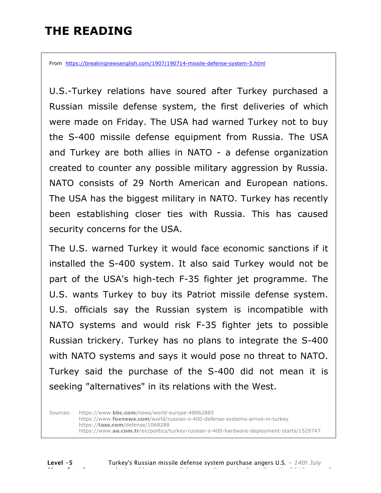### **THE READING**

From https://breakingnewsenglish.com/1907/190714-missile-defense-system-5.html

U.S.-Turkey relations have soured after Turkey purchased a Russian missile defense system, the first deliveries of which were made on Friday. The USA had warned Turkey not to buy the S-400 missile defense equipment from Russia. The USA and Turkey are both allies in NATO - a defense organization created to counter any possible military aggression by Russia. NATO consists of 29 North American and European nations. The USA has the biggest military in NATO. Turkey has recently been establishing closer ties with Russia. This has caused security concerns for the USA.

The U.S. warned Turkey it would face economic sanctions if it installed the S-400 system. It also said Turkey would not be part of the USA's high-tech F-35 fighter jet programme. The U.S. wants Turkey to buy its Patriot missile defense system. U.S. officials say the Russian system is incompatible with NATO systems and would risk F-35 fighter jets to possible Russian trickery. Turkey has no plans to integrate the S-400 with NATO systems and says it would pose no threat to NATO. Turkey said the purchase of the S-400 did not mean it is seeking "alternatives" in its relations with the West.

Sources: https://www.**bbc.com**/news/world-europe-48962885 https://www.**foxnews.com**/world/russian-s-400-defense-systems-arrive-in-turkey https://**tass.com**/defense/1068288 https://www.**aa.com.tr**/en/politics/turkey-russian-s-400-hardware-deployment-starts/1529747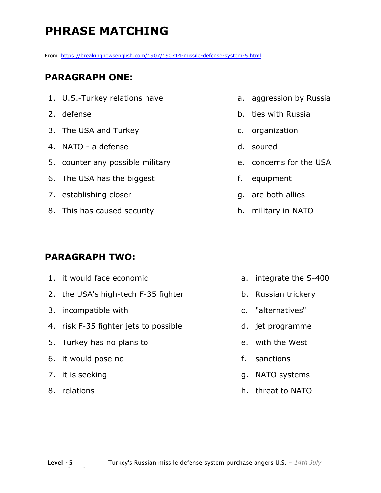### **PHRASE MATCHING**

From https://breakingnewsenglish.com/1907/190714-missile-defense-system-5.html

#### **PARAGRAPH ONE:**

- 1. U.S.-Turkey relations have
- 2. defense
- 3. The USA and Turkey
- 4. NATO a defense
- 5. counter any possible military
- 6. The USA has the biggest
- 7. establishing closer
- 8. This has caused security

#### **PARAGRAPH TWO:**

- 1. it would face economic 2. the USA's high-tech F-35 fighter 3. incompatible with 4. risk F-35 fighter jets to possible 5. Turkey has no plans to 6. it would pose no 7. it is seeking b. Russian trickery c. "alternatives" d. jet programme e. with the West f. sanctions g. NATO systems
- 8. relations
- a. aggression by Russia
- b. ties with Russia
- c. organization
- d. soured
- e. concerns for the USA
- f. equipment
- g. are both allies
- h. military in NATO

a. integrate the S-400

h. threat to NATO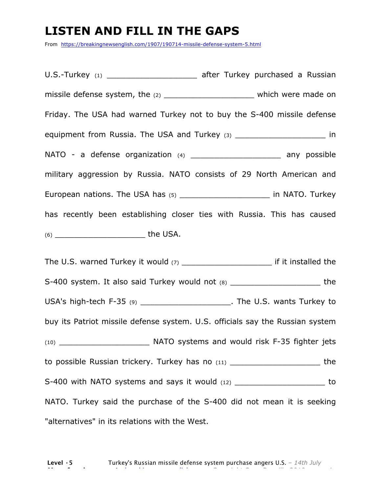### **LISTEN AND FILL IN THE GAPS**

From https://breakingnewsenglish.com/1907/190714-missile-defense-system-5.html

U.S.-Turkey (1) **Example 2** after Turkey purchased a Russian missile defense system, the (2) \_\_\_\_\_\_\_\_\_\_\_\_\_\_\_\_\_\_\_\_\_\_\_\_\_ which were made on Friday. The USA had warned Turkey not to buy the S-400 missile defense equipment from Russia. The USA and Turkey (3) \_\_\_\_\_\_\_\_\_\_\_\_\_\_\_\_\_\_\_\_\_\_\_\_ in NATO - a defense organization (4) \_\_\_\_\_\_\_\_\_\_\_\_\_\_\_\_\_\_\_\_\_\_\_\_ any possible military aggression by Russia. NATO consists of 29 North American and European nations. The USA has (5) \_\_\_\_\_\_\_\_\_\_\_\_\_\_\_\_\_\_\_\_\_\_\_\_\_ in NATO. Turkey has recently been establishing closer ties with Russia. This has caused (6) \_\_\_\_\_\_\_\_\_\_\_\_\_\_\_\_\_\_\_ the USA.

The U.S. warned Turkey it would  $(7)$  and the setting of it installed the S-400 system. It also said Turkey would not (8) \_\_\_\_\_\_\_\_\_\_\_\_\_\_\_\_\_\_\_\_\_\_\_\_\_\_\_ the USA's high-tech F-35 (9) \_\_\_\_\_\_\_\_\_\_\_\_\_\_\_\_\_\_\_\_\_\_\_\_. The U.S. wants Turkey to buy its Patriot missile defense system. U.S. officials say the Russian system (10) \_\_\_\_\_\_\_\_\_\_\_\_\_\_\_\_\_\_\_ NATO systems and would risk F-35 fighter jets to possible Russian trickery. Turkey has no (11) \_\_\_\_\_\_\_\_\_\_\_\_\_\_\_\_\_\_\_ the S-400 with NATO systems and says it would (12) \_\_\_\_\_\_\_\_\_\_\_\_\_\_\_\_\_\_\_\_\_\_\_\_ to NATO. Turkey said the purchase of the S-400 did not mean it is seeking "alternatives" in its relations with the West.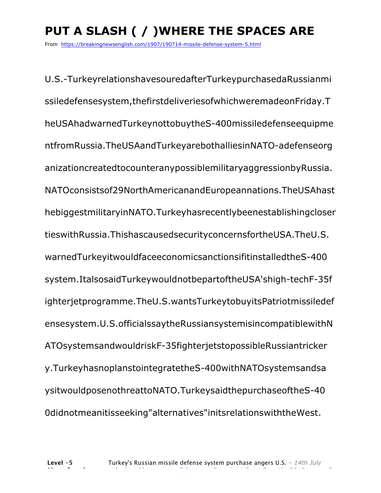## **PUT A SLASH ( / )WHERE THE SPACES ARE**

From https://breakingnewsenglish.com/1907/190714-missile-defense-system-5.html

U.S.-TurkeyrelationshavesouredafterTurkeypurchasedaRussianmi ssiledefensesystem,thefirstdeliveriesofwhichweremadeonFriday.T heUSAhadwarnedTurkeynottobuytheS-400missiledefenseequipme ntfromRussia.TheUSAandTurkeyarebothalliesinNATO-adefenseorg anizationcreatedtocounteranypossiblemilitaryaggressionbyRussia. NATOconsistsof29NorthAmericanandEuropeannations.TheUSAhast hebiggestmilitaryinNATO.Turkeyhasrecentlybeenestablishingcloser tieswithRussia.ThishascausedsecurityconcernsfortheUSA.TheU.S. warnedTurkeyitwouldfaceeconomicsanctionsifitinstalledtheS-400 system.ItalsosaidTurkeywouldnotbepartoftheUSA'shigh-techF-35f ighterjetprogramme.TheU.S.wantsTurkeytobuyitsPatriotmissiledef ensesystem.U.S.officialssaytheRussiansystemisincompatiblewithN ATOsystemsandwouldriskF-35fighterjetstopossibleRussiantricker y.TurkeyhasnoplanstointegratetheS-400withNATOsystemsandsa ysitwouldposenothreattoNATO.TurkeysaidthepurchaseoftheS-40 0didnotmeanitisseeking"alternatives"initsrelationswiththeWest.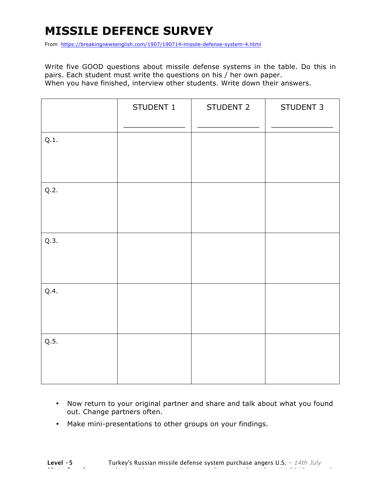### **MISSILE DEFENCE SURVEY**

From https://breakingnewsenglish.com/1907/190714-missile-defense-system-4.html

Write five GOOD questions about missile defense systems in the table. Do this in pairs. Each student must write the questions on his / her own paper. When you have finished, interview other students. Write down their answers.

|      | STUDENT 1 | STUDENT 2 | STUDENT 3 |
|------|-----------|-----------|-----------|
| Q.1. |           |           |           |
| Q.2. |           |           |           |
| Q.3. |           |           |           |
| Q.4. |           |           |           |
| Q.5. |           |           |           |

- Now return to your original partner and share and talk about what you found out. Change partners often.
- Make mini-presentations to other groups on your findings.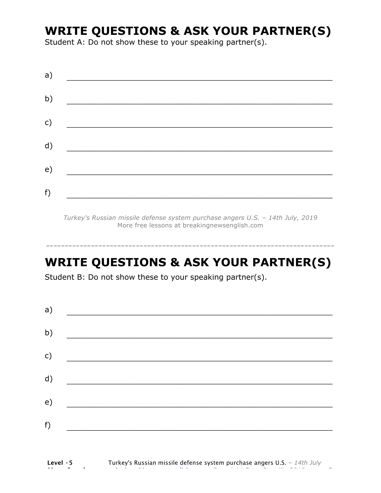### **WRITE QUESTIONS & ASK YOUR PARTNER(S)**

Student A: Do not show these to your speaking partner(s).

| a) |  |  |  |
|----|--|--|--|
| b) |  |  |  |
| c) |  |  |  |
| d) |  |  |  |
| e) |  |  |  |
| f) |  |  |  |

*Turkey's Russian missile defense system purchase angers U.S. – 14th July, 2019* More free lessons at breakingnewsenglish.com

### **WRITE QUESTIONS & ASK YOUR PARTNER(S)**

-----------------------------------------------------------------------------

Student B: Do not show these to your speaking partner(s).

| a) |  |  |
|----|--|--|
| b) |  |  |
| c) |  |  |
| d) |  |  |
| e) |  |  |
| f) |  |  |
|    |  |  |